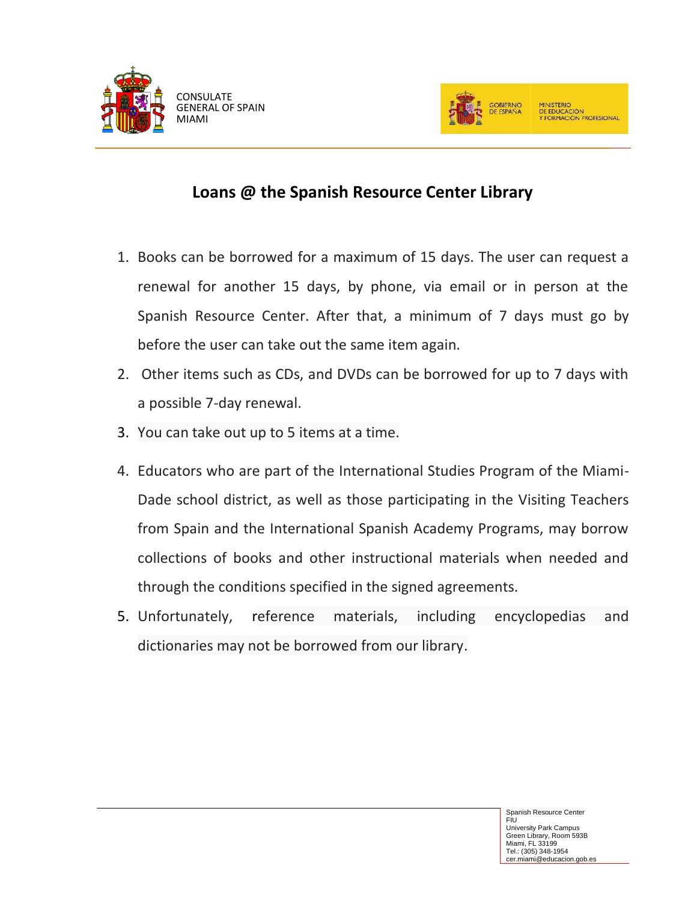



## **Loans @ the Spanish Resource Center Library**

- 1. Books can be borrowed for a maximum of 15 days. The user can request a renewal for another 15 days, by phone, via email or in person at the Spanish Resource Center. After that, a minimum of 7 days must go by before the user can take out the same item again.
- 2. Other items such as CDs, and DVDs can be borrowed for up to 7 days with a possible 7-day renewal.
- 3. You can take out up to 5 items at a time.
- 4. Educators who are part of the International Studies Program of the Miami-Dade school district, as well as those participating in the Visiting Teachers from Spain and the International Spanish Academy Programs, may borrow collections of books and other instructional materials when needed and through the conditions specified in the signed agreements.
- 5. Unfortunately, reference materials, including encyclopedias and dictionaries may not be borrowed from our library.